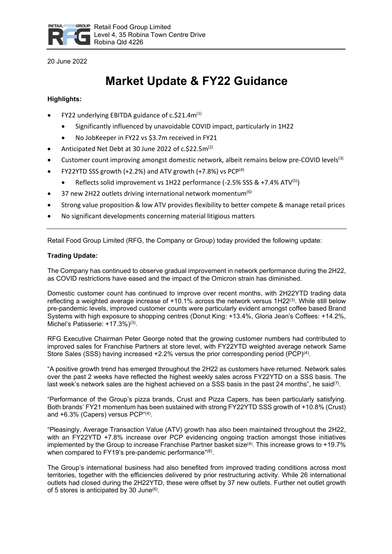

20 June 2022

# **Market Update & FY22 Guidance**

# **Highlights:**

- FY22 underlying EBITDA guidance of c.\$21.4m(1)
	- Significantly influenced by unavoidable COVID impact, particularly in 1H22
	- No JobKeeper in FY22 vs \$3.7m received in FY21
- Anticipated Net Debt at 30 June 2022 of c.\$22.5m<sup>(2)</sup>
- Customer count improving amongst domestic network, albeit remains below pre-COVID levels<sup>(3)</sup>
- FY22YTD SSS growth  $(+2.2%)$  and ATV growth  $(+7.8%)$  vs PCP<sup>(4)</sup>
	- Reflects solid improvement vs 1H22 performance (-2.5% SSS & +7.4% ATV<sup>(5)</sup>)
- 37 new 2H22 outlets driving international network momentum<sup>(6)</sup>
- Strong value proposition & low ATV provides flexibility to better compete & manage retail prices
- No significant developments concerning material litigious matters

Retail Food Group Limited (RFG, the Company or Group) today provided the following update:

# **Trading Update:**

The Company has continued to observe gradual improvement in network performance during the 2H22, as COVID restrictions have eased and the impact of the Omicron strain has diminished.

Domestic customer count has continued to improve over recent months, with 2H22YTD trading data reflecting a weighted average increase of  $+10.1\%$  across the network versus 1H22<sup>(3)</sup>. While still below pre-pandemic levels, improved customer counts were particularly evident amongst coffee based Brand Systems with high exposure to shopping centres (Donut King: +13.4%, Gloria Jean's Coffees: +14.2%, Michel's Patisserie: +17.3%)(3).

RFG Executive Chairman Peter George noted that the growing customer numbers had contributed to improved sales for Franchise Partners at store level, with FY22YTD weighted average network Same Store Sales (SSS) having increased  $+2.2\%$  versus the prior corresponding period (PCP)<sup>(4)</sup>.

"A positive growth trend has emerged throughout the 2H22 as customers have returned. Network sales over the past 2 weeks have reflected the highest weekly sales across FY22YTD on a SSS basis. The last week's network sales are the highest achieved on a SSS basis in the past 24 months", he said<sup>(7)</sup>.

"Performance of the Group's pizza brands, Crust and Pizza Capers, has been particularly satisfying. Both brands' FY21 momentum has been sustained with strong FY22YTD SSS growth of +10.8% (Crust) and +6.3% (Capers) versus PCP"(4).

"Pleasingly, Average Transaction Value (ATV) growth has also been maintained throughout the 2H22, with an FY22YTD +7.8% increase over PCP evidencing ongoing traction amongst those initiatives implemented by the Group to increase Franchise Partner basket size $(4)$ . This increase grows to +19.7% when compared to FY19's pre-pandemic performance"(8).

The Group's international business had also benefited from improved trading conditions across most territories, together with the efficiencies delivered by prior restructuring activity. While 26 international outlets had closed during the 2H22YTD, these were offset by 37 new outlets. Further net outlet growth of 5 stores is anticipated by 30 June(6).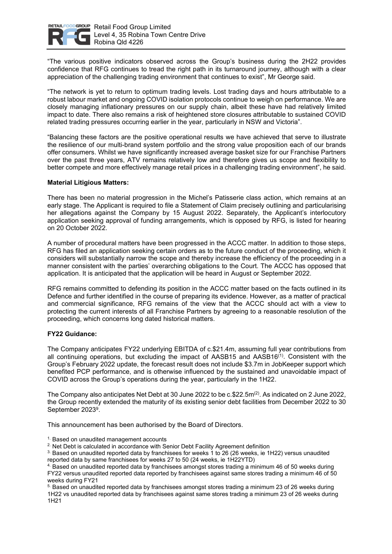

"The various positive indicators observed across the Group's business during the 2H22 provides confidence that RFG continues to tread the right path in its turnaround journey, although with a clear appreciation of the challenging trading environment that continues to exist", Mr George said.

"The network is yet to return to optimum trading levels. Lost trading days and hours attributable to a robust labour market and ongoing COVID isolation protocols continue to weigh on performance. We are closely managing inflationary pressures on our supply chain, albeit these have had relatively limited impact to date. There also remains a risk of heightened store closures attributable to sustained COVID related trading pressures occurring earlier in the year, particularly in NSW and Victoria".

"Balancing these factors are the positive operational results we have achieved that serve to illustrate the resilience of our multi-brand system portfolio and the strong value proposition each of our brands offer consumers. Whilst we have significantly increased average basket size for our Franchise Partners over the past three years, ATV remains relatively low and therefore gives us scope and flexibility to better compete and more effectively manage retail prices in a challenging trading environment", he said.

## **Material Litigious Matters:**

There has been no material progression in the Michel's Patisserie class action, which remains at an early stage. The Applicant is required to file a Statement of Claim precisely outlining and particularising her allegations against the Company by 15 August 2022. Separately, the Applicant's interlocutory application seeking approval of funding arrangements, which is opposed by RFG, is listed for hearing on 20 October 2022.

A number of procedural matters have been progressed in the ACCC matter. In addition to those steps, RFG has filed an application seeking certain orders as to the future conduct of the proceeding, which it considers will substantially narrow the scope and thereby increase the efficiency of the proceeding in a manner consistent with the parties' overarching obligations to the Court. The ACCC has opposed that application. It is anticipated that the application will be heard in August or September 2022.

RFG remains committed to defending its position in the ACCC matter based on the facts outlined in its Defence and further identified in the course of preparing its evidence. However, as a matter of practical and commercial significance, RFG remains of the view that the ACCC should act with a view to protecting the current interests of all Franchise Partners by agreeing to a reasonable resolution of the proceeding, which concerns long dated historical matters.

### **FY22 Guidance:**

The Company anticipates FY22 underlying EBITDA of c.\$21.4m, assuming full year contributions from all continuing operations, but excluding the impact of AASB15 and AASB16<sup>(1)</sup>. Consistent with the Group's February 2022 update, the forecast result does not include \$3.7m in JobKeeper support which benefited PCP performance, and is otherwise influenced by the sustained and unavoidable impact of COVID across the Group's operations during the year, particularly in the 1H22.

The Company also anticipates Net Debt at 30 June 2022 to be  $c.\$22.5m^{(2)}$ . As indicated on 2 June 2022, the Group recently extended the maturity of its existing senior debt facilities from December 2022 to 30 September 20239.

This announcement has been authorised by the Board of Directors.

<sup>1.</sup> Based on unaudited management accounts

<sup>2.</sup> Net Debt is calculated in accordance with Senior Debt Facility Agreement definition

3. Based on unaudited reported data by franchisees for weeks 1 to 26 (26 weeks, ie 1H22) versus unaudited reported data by same franchisees for weeks 27 to 50 (24 weeks, ie 1H22YTD)

4. Based on unaudited reported data by franchisees amongst stores trading a minimum 46 of 50 weeks during FY22 versus unaudited reported data reported by franchisees against same stores trading a minimum 46 of 50 weeks during FY21

5. Based on unaudited reported data by franchisees amongst stores trading a minimum 23 of 26 weeks during 1H22 vs unaudited reported data by franchisees against same stores trading a minimum 23 of 26 weeks during 1H21